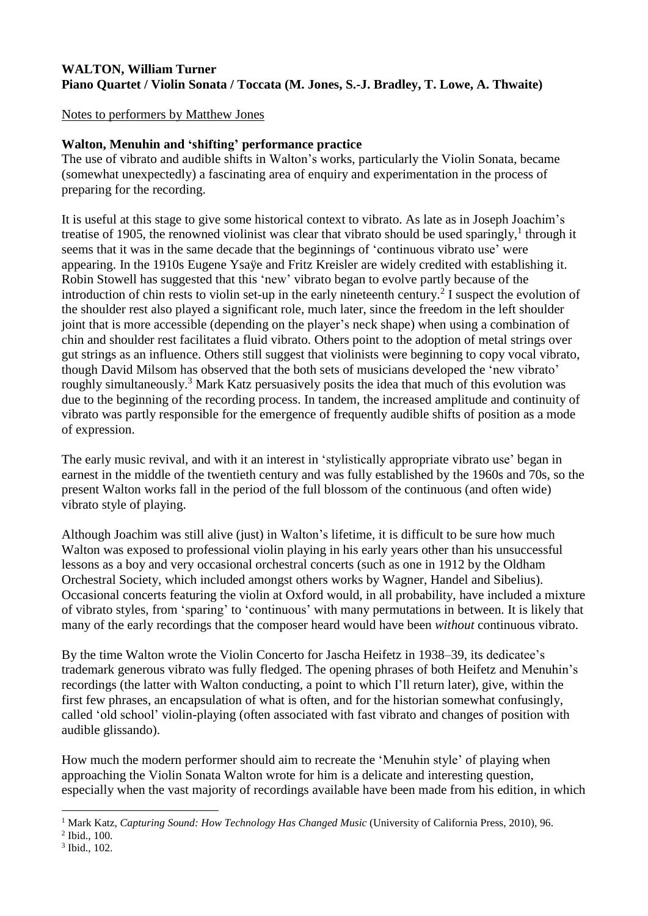## **WALTON, William Turner Piano Quartet / Violin Sonata / Toccata (M. Jones, S.-J. Bradley, T. Lowe, A. Thwaite)**

Notes to performers by Matthew Jones

## **Walton, Menuhin and 'shifting' performance practice**

The use of vibrato and audible shifts in Walton's works, particularly the Violin Sonata, became (somewhat unexpectedly) a fascinating area of enquiry and experimentation in the process of preparing for the recording.

It is useful at this stage to give some historical context to vibrato. As late as in Joseph Joachim's treatise of 1905, the renowned violinist was clear that vibrato should be used sparingly,<sup>1</sup> through it seems that it was in the same decade that the beginnings of 'continuous vibrato use' were appearing. In the 1910s Eugene Ysaÿe and Fritz Kreisler are widely credited with establishing it. Robin Stowell has suggested that this 'new' vibrato began to evolve partly because of the introduction of chin rests to violin set-up in the early nineteenth century. 2 I suspect the evolution of the shoulder rest also played a significant role, much later, since the freedom in the left shoulder joint that is more accessible (depending on the player's neck shape) when using a combination of chin and shoulder rest facilitates a fluid vibrato. Others point to the adoption of metal strings over gut strings as an influence. Others still suggest that violinists were beginning to copy vocal vibrato, though David Milsom has observed that the both sets of musicians developed the 'new vibrato' roughly simultaneously.<sup>3</sup> Mark Katz persuasively posits the idea that much of this evolution was due to the beginning of the recording process. In tandem, the increased amplitude and continuity of vibrato was partly responsible for the emergence of frequently audible shifts of position as a mode of expression.

The early music revival, and with it an interest in 'stylistically appropriate vibrato use' began in earnest in the middle of the twentieth century and was fully established by the 1960s and 70s, so the present Walton works fall in the period of the full blossom of the continuous (and often wide) vibrato style of playing.

Although Joachim was still alive (just) in Walton's lifetime, it is difficult to be sure how much Walton was exposed to professional violin playing in his early years other than his unsuccessful lessons as a boy and very occasional orchestral concerts (such as one in 1912 by the Oldham Orchestral Society, which included amongst others works by Wagner, Handel and Sibelius). Occasional concerts featuring the violin at Oxford would, in all probability, have included a mixture of vibrato styles, from 'sparing' to 'continuous' with many permutations in between. It is likely that many of the early recordings that the composer heard would have been *without* continuous vibrato.

By the time Walton wrote the Violin Concerto for Jascha Heifetz in 1938–39, its dedicatee's trademark generous vibrato was fully fledged. The opening phrases of both Heifetz and Menuhin's recordings (the latter with Walton conducting, a point to which I'll return later), give, within the first few phrases, an encapsulation of what is often, and for the historian somewhat confusingly, called 'old school' violin-playing (often associated with fast vibrato and changes of position with audible glissando).

How much the modern performer should aim to recreate the 'Menuhin style' of playing when approaching the Violin Sonata Walton wrote for him is a delicate and interesting question, especially when the vast majority of recordings available have been made from his edition, in which

<sup>1</sup> <sup>1</sup> Mark Katz, *Capturing Sound: How Technology Has Changed Music* (University of California Press, 2010), 96.

<sup>2</sup> Ibid., 100.

<sup>3</sup> Ibid., 102.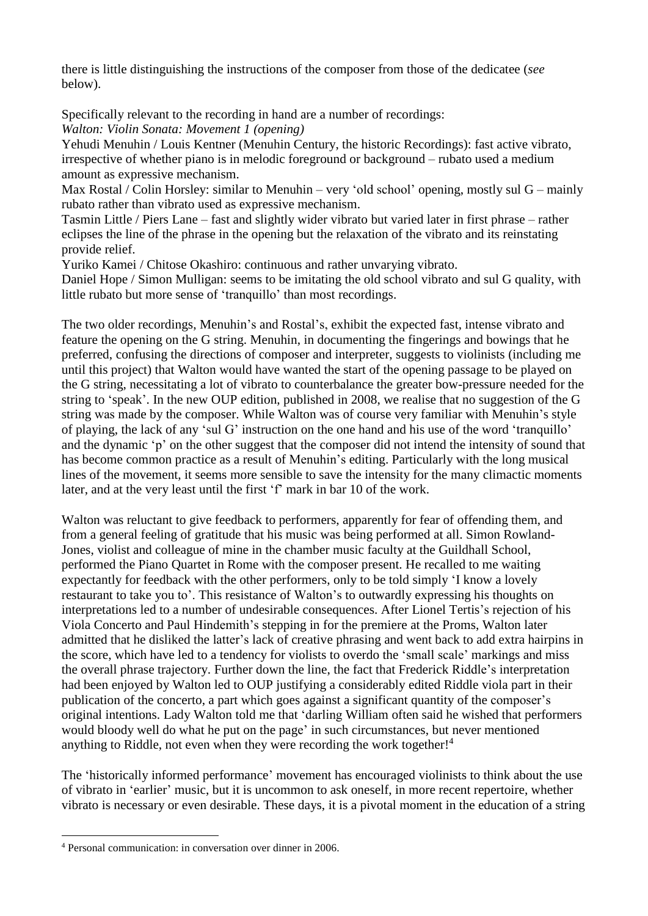there is little distinguishing the instructions of the composer from those of the dedicatee (*see* below).

Specifically relevant to the recording in hand are a number of recordings:

*Walton: Violin Sonata: Movement 1 (opening)* Yehudi Menuhin / Louis Kentner (Menuhin Century, the historic Recordings): fast active vibrato,

irrespective of whether piano is in melodic foreground or background – rubato used a medium amount as expressive mechanism.

Max Rostal / Colin Horsley: similar to Menuhin – very 'old school' opening, mostly sul G – mainly rubato rather than vibrato used as expressive mechanism.

Tasmin Little / Piers Lane – fast and slightly wider vibrato but varied later in first phrase – rather eclipses the line of the phrase in the opening but the relaxation of the vibrato and its reinstating provide relief.

Yuriko Kamei / Chitose Okashiro: continuous and rather unvarying vibrato.

Daniel Hope / Simon Mulligan: seems to be imitating the old school vibrato and sul G quality, with little rubato but more sense of 'tranquillo' than most recordings.

The two older recordings, Menuhin's and Rostal's, exhibit the expected fast, intense vibrato and feature the opening on the G string. Menuhin, in documenting the fingerings and bowings that he preferred, confusing the directions of composer and interpreter, suggests to violinists (including me until this project) that Walton would have wanted the start of the opening passage to be played on the G string, necessitating a lot of vibrato to counterbalance the greater bow-pressure needed for the string to 'speak'. In the new OUP edition, published in 2008, we realise that no suggestion of the G string was made by the composer. While Walton was of course very familiar with Menuhin's style of playing, the lack of any 'sul G' instruction on the one hand and his use of the word 'tranquillo' and the dynamic 'p' on the other suggest that the composer did not intend the intensity of sound that has become common practice as a result of Menuhin's editing. Particularly with the long musical lines of the movement, it seems more sensible to save the intensity for the many climactic moments later, and at the very least until the first 'f' mark in bar 10 of the work.

Walton was reluctant to give feedback to performers, apparently for fear of offending them, and from a general feeling of gratitude that his music was being performed at all. Simon Rowland-Jones, violist and colleague of mine in the chamber music faculty at the Guildhall School, performed the Piano Quartet in Rome with the composer present. He recalled to me waiting expectantly for feedback with the other performers, only to be told simply 'I know a lovely restaurant to take you to'. This resistance of Walton's to outwardly expressing his thoughts on interpretations led to a number of undesirable consequences. After Lionel Tertis's rejection of his Viola Concerto and Paul Hindemith's stepping in for the premiere at the Proms, Walton later admitted that he disliked the latter's lack of creative phrasing and went back to add extra hairpins in the score, which have led to a tendency for violists to overdo the 'small scale' markings and miss the overall phrase trajectory. Further down the line, the fact that Frederick Riddle's interpretation had been enjoyed by Walton led to OUP justifying a considerably edited Riddle viola part in their publication of the concerto, a part which goes against a significant quantity of the composer's original intentions. Lady Walton told me that 'darling William often said he wished that performers would bloody well do what he put on the page' in such circumstances, but never mentioned anything to Riddle, not even when they were recording the work together!<sup>4</sup>

The 'historically informed performance' movement has encouraged violinists to think about the use of vibrato in 'earlier' music, but it is uncommon to ask oneself, in more recent repertoire, whether vibrato is necessary or even desirable. These days, it is a pivotal moment in the education of a string

<u>.</u>

<sup>4</sup> Personal communication: in conversation over dinner in 2006.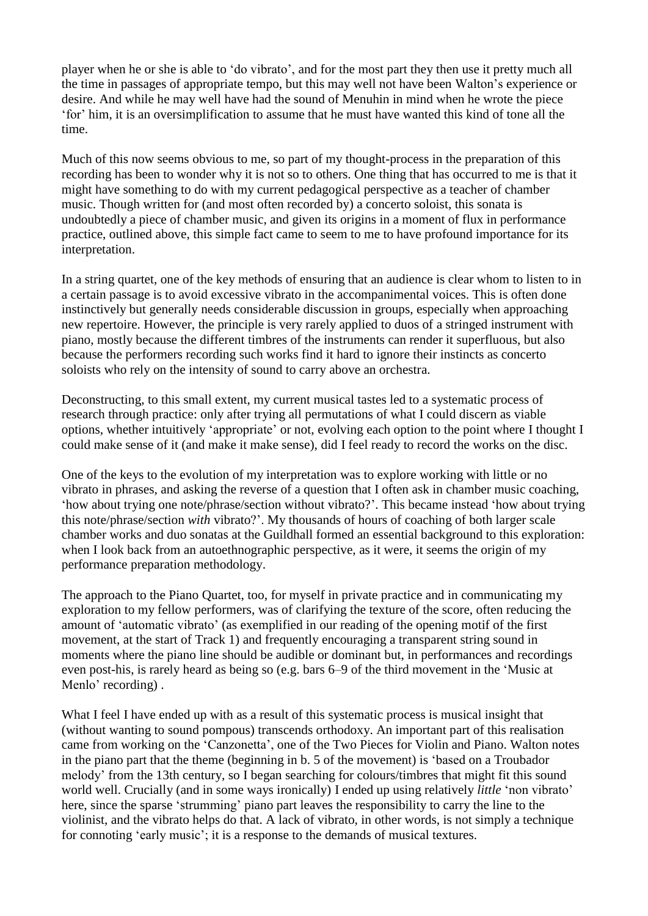player when he or she is able to 'do vibrato', and for the most part they then use it pretty much all the time in passages of appropriate tempo, but this may well not have been Walton's experience or desire. And while he may well have had the sound of Menuhin in mind when he wrote the piece 'for' him, it is an oversimplification to assume that he must have wanted this kind of tone all the time.

Much of this now seems obvious to me, so part of my thought-process in the preparation of this recording has been to wonder why it is not so to others. One thing that has occurred to me is that it might have something to do with my current pedagogical perspective as a teacher of chamber music. Though written for (and most often recorded by) a concerto soloist, this sonata is undoubtedly a piece of chamber music, and given its origins in a moment of flux in performance practice, outlined above, this simple fact came to seem to me to have profound importance for its interpretation.

In a string quartet, one of the key methods of ensuring that an audience is clear whom to listen to in a certain passage is to avoid excessive vibrato in the accompanimental voices. This is often done instinctively but generally needs considerable discussion in groups, especially when approaching new repertoire. However, the principle is very rarely applied to duos of a stringed instrument with piano, mostly because the different timbres of the instruments can render it superfluous, but also because the performers recording such works find it hard to ignore their instincts as concerto soloists who rely on the intensity of sound to carry above an orchestra.

Deconstructing, to this small extent, my current musical tastes led to a systematic process of research through practice: only after trying all permutations of what I could discern as viable options, whether intuitively 'appropriate' or not, evolving each option to the point where I thought I could make sense of it (and make it make sense), did I feel ready to record the works on the disc.

One of the keys to the evolution of my interpretation was to explore working with little or no vibrato in phrases, and asking the reverse of a question that I often ask in chamber music coaching, 'how about trying one note/phrase/section without vibrato?'. This became instead 'how about trying this note/phrase/section *with* vibrato?'. My thousands of hours of coaching of both larger scale chamber works and duo sonatas at the Guildhall formed an essential background to this exploration: when I look back from an autoethnographic perspective, as it were, it seems the origin of my performance preparation methodology.

The approach to the Piano Quartet, too, for myself in private practice and in communicating my exploration to my fellow performers, was of clarifying the texture of the score, often reducing the amount of 'automatic vibrato' (as exemplified in our reading of the opening motif of the first movement, at the start of Track 1) and frequently encouraging a transparent string sound in moments where the piano line should be audible or dominant but, in performances and recordings even post-his, is rarely heard as being so (e.g. bars 6–9 of the third movement in the 'Music at Menlo' recording).

What I feel I have ended up with as a result of this systematic process is musical insight that (without wanting to sound pompous) transcends orthodoxy. An important part of this realisation came from working on the 'Canzonetta', one of the Two Pieces for Violin and Piano. Walton notes in the piano part that the theme (beginning in b. 5 of the movement) is 'based on a Troubador melody' from the 13th century, so I began searching for colours/timbres that might fit this sound world well. Crucially (and in some ways ironically) I ended up using relatively *little* 'non vibrato' here, since the sparse 'strumming' piano part leaves the responsibility to carry the line to the violinist, and the vibrato helps do that. A lack of vibrato, in other words, is not simply a technique for connoting 'early music'; it is a response to the demands of musical textures.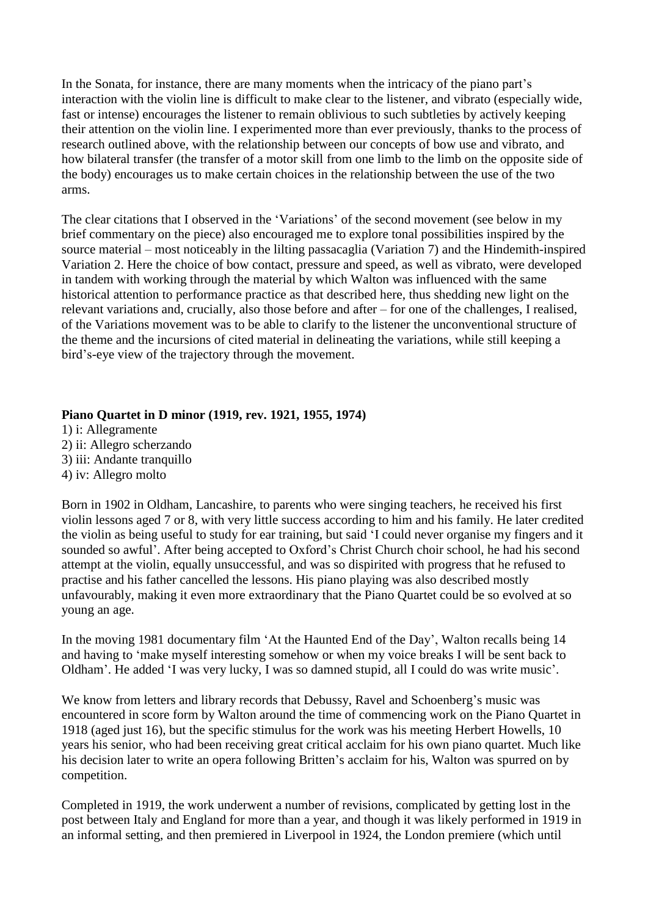In the Sonata, for instance, there are many moments when the intricacy of the piano part's interaction with the violin line is difficult to make clear to the listener, and vibrato (especially wide, fast or intense) encourages the listener to remain oblivious to such subtleties by actively keeping their attention on the violin line. I experimented more than ever previously, thanks to the process of research outlined above, with the relationship between our concepts of bow use and vibrato, and how bilateral transfer (the transfer of a motor skill from one limb to the limb on the opposite side of the body) encourages us to make certain choices in the relationship between the use of the two arms.

The clear citations that I observed in the 'Variations' of the second movement (see below in my brief commentary on the piece) also encouraged me to explore tonal possibilities inspired by the source material – most noticeably in the lilting passacaglia (Variation 7) and the Hindemith-inspired Variation 2. Here the choice of bow contact, pressure and speed, as well as vibrato, were developed in tandem with working through the material by which Walton was influenced with the same historical attention to performance practice as that described here, thus shedding new light on the relevant variations and, crucially, also those before and after – for one of the challenges, I realised, of the Variations movement was to be able to clarify to the listener the unconventional structure of the theme and the incursions of cited material in delineating the variations, while still keeping a bird's-eye view of the trajectory through the movement.

#### **Piano Quartet in D minor (1919, rev. 1921, 1955, 1974)**

1) i: Allegramente 2) ii: Allegro scherzando 3) iii: Andante tranquillo 4) iv: Allegro molto

Born in 1902 in Oldham, Lancashire, to parents who were singing teachers, he received his first violin lessons aged 7 or 8, with very little success according to him and his family. He later credited the violin as being useful to study for ear training, but said 'I could never organise my fingers and it sounded so awful'. After being accepted to Oxford's Christ Church choir school, he had his second attempt at the violin, equally unsuccessful, and was so dispirited with progress that he refused to practise and his father cancelled the lessons. His piano playing was also described mostly unfavourably, making it even more extraordinary that the Piano Quartet could be so evolved at so young an age.

In the moving 1981 documentary film 'At the Haunted End of the Day', Walton recalls being 14 and having to 'make myself interesting somehow or when my voice breaks I will be sent back to Oldham'. He added 'I was very lucky, I was so damned stupid, all I could do was write music'.

We know from letters and library records that Debussy, Ravel and Schoenberg's music was encountered in score form by Walton around the time of commencing work on the Piano Quartet in 1918 (aged just 16), but the specific stimulus for the work was his meeting Herbert Howells, 10 years his senior, who had been receiving great critical acclaim for his own piano quartet. Much like his decision later to write an opera following Britten's acclaim for his, Walton was spurred on by competition.

Completed in 1919, the work underwent a number of revisions, complicated by getting lost in the post between Italy and England for more than a year, and though it was likely performed in 1919 in an informal setting, and then premiered in Liverpool in 1924, the London premiere (which until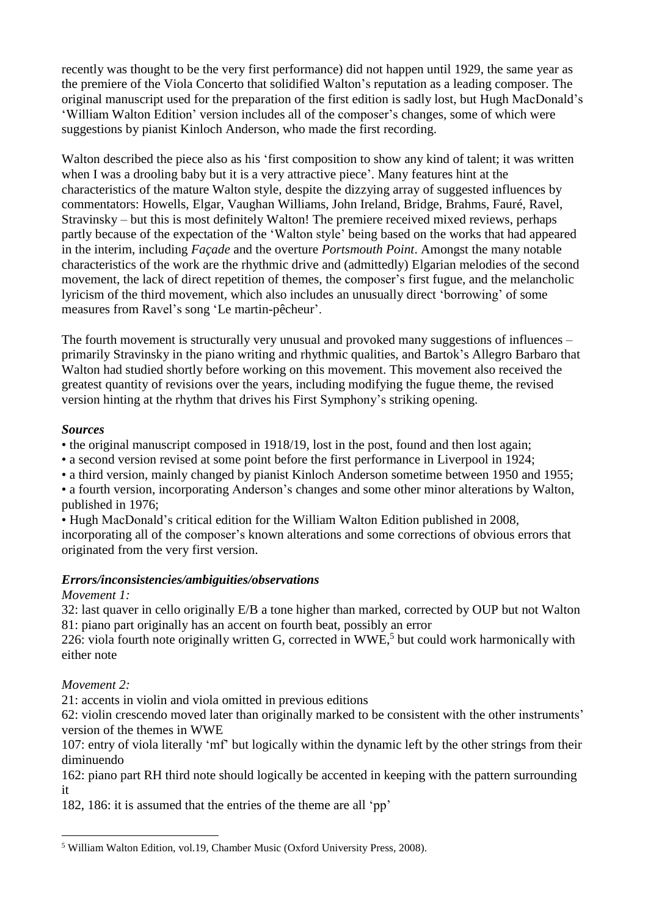recently was thought to be the very first performance) did not happen until 1929, the same year as the premiere of the Viola Concerto that solidified Walton's reputation as a leading composer. The original manuscript used for the preparation of the first edition is sadly lost, but Hugh MacDonald's 'William Walton Edition' version includes all of the composer's changes, some of which were suggestions by pianist Kinloch Anderson, who made the first recording.

Walton described the piece also as his 'first composition to show any kind of talent; it was written when I was a drooling baby but it is a very attractive piece'. Many features hint at the characteristics of the mature Walton style, despite the dizzying array of suggested influences by commentators: Howells, Elgar, Vaughan Williams, John Ireland, Bridge, Brahms, Fauré, Ravel, Stravinsky – but this is most definitely Walton! The premiere received mixed reviews, perhaps partly because of the expectation of the 'Walton style' being based on the works that had appeared in the interim, including *Façade* and the overture *Portsmouth Point*. Amongst the many notable characteristics of the work are the rhythmic drive and (admittedly) Elgarian melodies of the second movement, the lack of direct repetition of themes, the composer's first fugue, and the melancholic lyricism of the third movement, which also includes an unusually direct 'borrowing' of some measures from Ravel's song 'Le martin-pêcheur'.

The fourth movement is structurally very unusual and provoked many suggestions of influences – primarily Stravinsky in the piano writing and rhythmic qualities, and Bartok's Allegro Barbaro that Walton had studied shortly before working on this movement. This movement also received the greatest quantity of revisions over the years, including modifying the fugue theme, the revised version hinting at the rhythm that drives his First Symphony's striking opening.

#### *Sources*

• the original manuscript composed in 1918/19, lost in the post, found and then lost again;

• a second version revised at some point before the first performance in Liverpool in 1924;

• a third version, mainly changed by pianist Kinloch Anderson sometime between 1950 and 1955;

• a fourth version, incorporating Anderson's changes and some other minor alterations by Walton, published in 1976;

• Hugh MacDonald's critical edition for the William Walton Edition published in 2008, incorporating all of the composer's known alterations and some corrections of obvious errors that originated from the very first version.

## *Errors/inconsistencies/ambiguities/observations*

## *Movement 1:*

32: last quaver in cello originally E/B a tone higher than marked, corrected by OUP but not Walton 81: piano part originally has an accent on fourth beat, possibly an error

226: viola fourth note originally written G, corrected in WWE,<sup>5</sup> but could work harmonically with either note

*Movement 2:*

21: accents in violin and viola omitted in previous editions

62: violin crescendo moved later than originally marked to be consistent with the other instruments' version of the themes in WWE

107: entry of viola literally 'mf' but logically within the dynamic left by the other strings from their diminuendo

162: piano part RH third note should logically be accented in keeping with the pattern surrounding it

182, 186: it is assumed that the entries of the theme are all 'pp'

<sup>&</sup>lt;u>.</u> <sup>5</sup> William Walton Edition, vol.19, Chamber Music (Oxford University Press, 2008).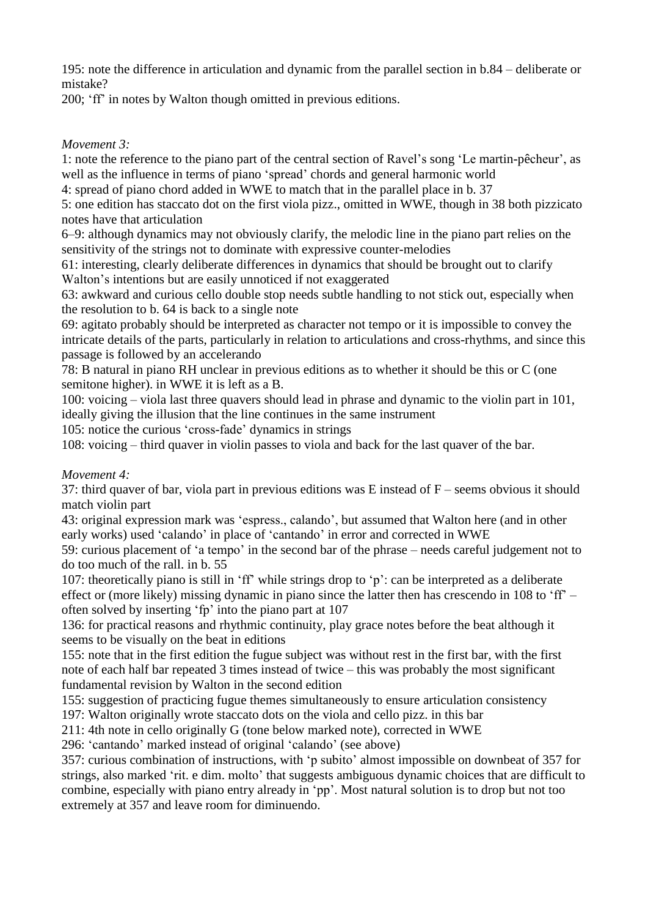195: note the difference in articulation and dynamic from the parallel section in b.84 – deliberate or mistake?

200; 'ff' in notes by Walton though omitted in previous editions.

## *Movement 3:*

1: note the reference to the piano part of the central section of Ravel's song 'Le martin-pêcheur', as well as the influence in terms of piano 'spread' chords and general harmonic world

4: spread of piano chord added in WWE to match that in the parallel place in b. 37

5: one edition has staccato dot on the first viola pizz., omitted in WWE, though in 38 both pizzicato notes have that articulation

6–9: although dynamics may not obviously clarify, the melodic line in the piano part relies on the sensitivity of the strings not to dominate with expressive counter-melodies

61: interesting, clearly deliberate differences in dynamics that should be brought out to clarify Walton's intentions but are easily unnoticed if not exaggerated

63: awkward and curious cello double stop needs subtle handling to not stick out, especially when the resolution to b. 64 is back to a single note

69: agitato probably should be interpreted as character not tempo or it is impossible to convey the intricate details of the parts, particularly in relation to articulations and cross-rhythms, and since this passage is followed by an accelerando

78: B natural in piano RH unclear in previous editions as to whether it should be this or C (one semitone higher). in WWE it is left as a B.

100: voicing – viola last three quavers should lead in phrase and dynamic to the violin part in 101, ideally giving the illusion that the line continues in the same instrument

105: notice the curious 'cross-fade' dynamics in strings

108: voicing – third quaver in violin passes to viola and back for the last quaver of the bar.

## *Movement 4:*

37: third quaver of bar, viola part in previous editions was E instead of F – seems obvious it should match violin part

43: original expression mark was 'espress., calando', but assumed that Walton here (and in other early works) used 'calando' in place of 'cantando' in error and corrected in WWE

59: curious placement of 'a tempo' in the second bar of the phrase – needs careful judgement not to do too much of the rall. in b. 55

107: theoretically piano is still in 'ff' while strings drop to 'p': can be interpreted as a deliberate effect or (more likely) missing dynamic in piano since the latter then has crescendo in 108 to 'ff' – often solved by inserting 'fp' into the piano part at 107

136: for practical reasons and rhythmic continuity, play grace notes before the beat although it seems to be visually on the beat in editions

155: note that in the first edition the fugue subject was without rest in the first bar, with the first note of each half bar repeated 3 times instead of twice – this was probably the most significant fundamental revision by Walton in the second edition

155: suggestion of practicing fugue themes simultaneously to ensure articulation consistency

197: Walton originally wrote staccato dots on the viola and cello pizz. in this bar

211: 4th note in cello originally G (tone below marked note), corrected in WWE

296: 'cantando' marked instead of original 'calando' (see above)

357: curious combination of instructions, with 'p subito' almost impossible on downbeat of 357 for strings, also marked 'rit. e dim. molto' that suggests ambiguous dynamic choices that are difficult to combine, especially with piano entry already in 'pp'. Most natural solution is to drop but not too extremely at 357 and leave room for diminuendo.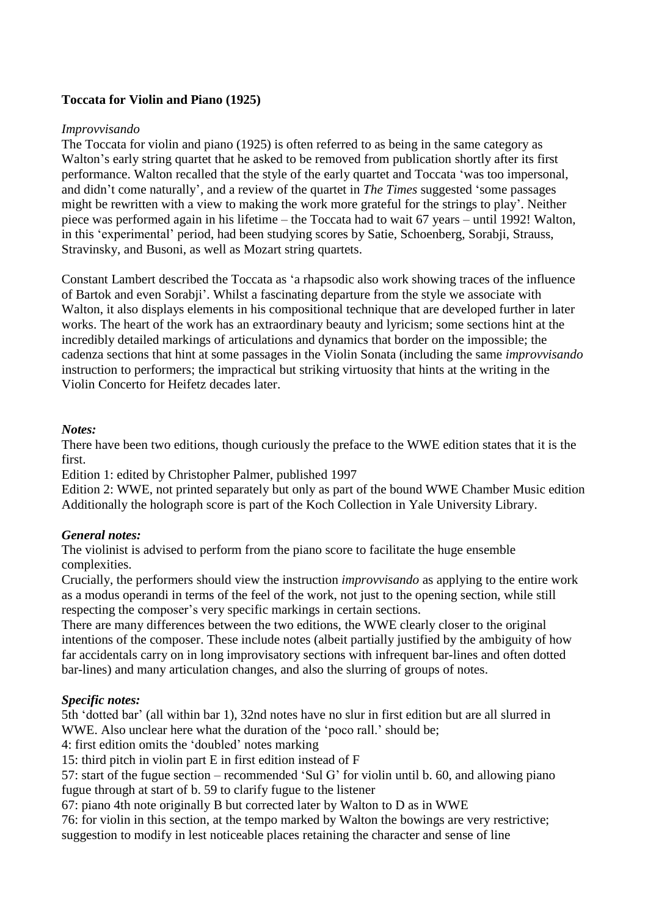## **Toccata for Violin and Piano (1925)**

#### *Improvvisando*

The Toccata for violin and piano (1925) is often referred to as being in the same category as Walton's early string quartet that he asked to be removed from publication shortly after its first performance. Walton recalled that the style of the early quartet and Toccata 'was too impersonal, and didn't come naturally', and a review of the quartet in *The Times* suggested 'some passages might be rewritten with a view to making the work more grateful for the strings to play'. Neither piece was performed again in his lifetime – the Toccata had to wait 67 years – until 1992! Walton, in this 'experimental' period, had been studying scores by Satie, Schoenberg, Sorabji, Strauss, Stravinsky, and Busoni, as well as Mozart string quartets.

Constant Lambert described the Toccata as 'a rhapsodic also work showing traces of the influence of Bartok and even Sorabji'. Whilst a fascinating departure from the style we associate with Walton, it also displays elements in his compositional technique that are developed further in later works. The heart of the work has an extraordinary beauty and lyricism; some sections hint at the incredibly detailed markings of articulations and dynamics that border on the impossible; the cadenza sections that hint at some passages in the Violin Sonata (including the same *improvvisando* instruction to performers; the impractical but striking virtuosity that hints at the writing in the Violin Concerto for Heifetz decades later.

#### *Notes:*

There have been two editions, though curiously the preface to the WWE edition states that it is the first.

Edition 1: edited by Christopher Palmer, published 1997

Edition 2: WWE, not printed separately but only as part of the bound WWE Chamber Music edition Additionally the holograph score is part of the Koch Collection in Yale University Library.

## *General notes:*

The violinist is advised to perform from the piano score to facilitate the huge ensemble complexities.

Crucially, the performers should view the instruction *improvvisando* as applying to the entire work as a modus operandi in terms of the feel of the work, not just to the opening section, while still respecting the composer's very specific markings in certain sections.

There are many differences between the two editions, the WWE clearly closer to the original intentions of the composer. These include notes (albeit partially justified by the ambiguity of how far accidentals carry on in long improvisatory sections with infrequent bar-lines and often dotted bar-lines) and many articulation changes, and also the slurring of groups of notes.

## *Specific notes:*

5th 'dotted bar' (all within bar 1), 32nd notes have no slur in first edition but are all slurred in WWE. Also unclear here what the duration of the 'poco rall.' should be;

4: first edition omits the 'doubled' notes marking

15: third pitch in violin part E in first edition instead of F

57: start of the fugue section – recommended 'Sul G' for violin until b. 60, and allowing piano fugue through at start of b. 59 to clarify fugue to the listener

67: piano 4th note originally B but corrected later by Walton to D as in WWE

76: for violin in this section, at the tempo marked by Walton the bowings are very restrictive; suggestion to modify in lest noticeable places retaining the character and sense of line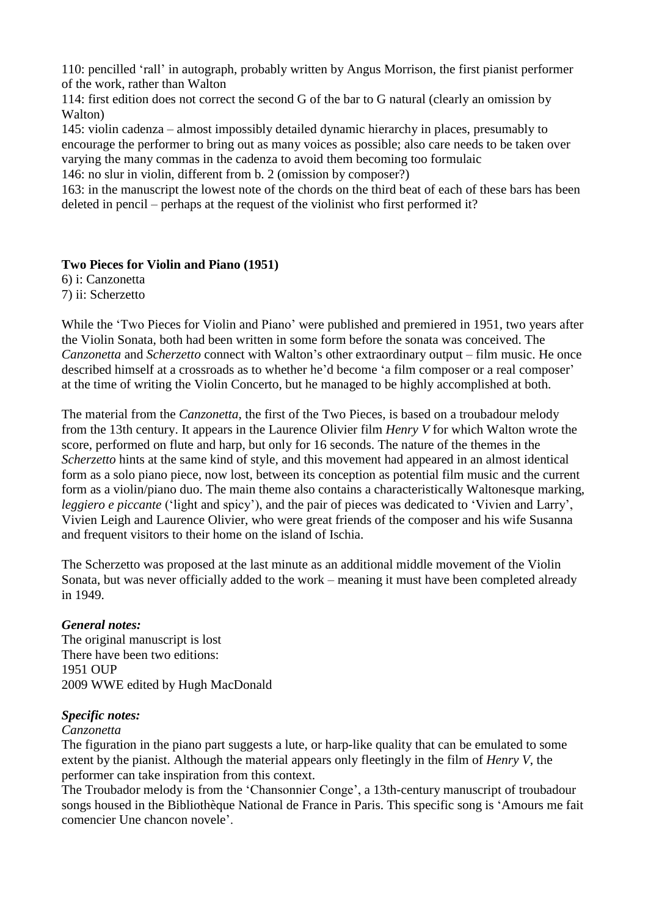110: pencilled 'rall' in autograph, probably written by Angus Morrison, the first pianist performer of the work, rather than Walton

114: first edition does not correct the second G of the bar to G natural (clearly an omission by Walton)

145: violin cadenza – almost impossibly detailed dynamic hierarchy in places, presumably to encourage the performer to bring out as many voices as possible; also care needs to be taken over varying the many commas in the cadenza to avoid them becoming too formulaic

146: no slur in violin, different from b. 2 (omission by composer?)

163: in the manuscript the lowest note of the chords on the third beat of each of these bars has been deleted in pencil – perhaps at the request of the violinist who first performed it?

## **Two Pieces for Violin and Piano (1951)**

6) i: Canzonetta 7) ii: Scherzetto

While the 'Two Pieces for Violin and Piano' were published and premiered in 1951, two years after the Violin Sonata, both had been written in some form before the sonata was conceived. The *Canzonetta* and *Scherzetto* connect with Walton's other extraordinary output – film music. He once described himself at a crossroads as to whether he'd become 'a film composer or a real composer' at the time of writing the Violin Concerto, but he managed to be highly accomplished at both.

The material from the *Canzonetta*, the first of the Two Pieces, is based on a troubadour melody from the 13th century. It appears in the Laurence Olivier film *Henry V* for which Walton wrote the score, performed on flute and harp, but only for 16 seconds. The nature of the themes in the *Scherzetto* hints at the same kind of style, and this movement had appeared in an almost identical form as a solo piano piece, now lost, between its conception as potential film music and the current form as a violin/piano duo. The main theme also contains a characteristically Waltonesque marking, *leggiero e piccante* ('light and spicy'), and the pair of pieces was dedicated to 'Vivien and Larry', Vivien Leigh and Laurence Olivier, who were great friends of the composer and his wife Susanna and frequent visitors to their home on the island of Ischia.

The Scherzetto was proposed at the last minute as an additional middle movement of the Violin Sonata, but was never officially added to the work – meaning it must have been completed already in 1949.

#### *General notes:*

The original manuscript is lost There have been two editions: 1951 OUP 2009 WWE edited by Hugh MacDonald

## *Specific notes:*

#### *Canzonetta*

The figuration in the piano part suggests a lute, or harp-like quality that can be emulated to some extent by the pianist. Although the material appears only fleetingly in the film of *Henry V*, the performer can take inspiration from this context.

The Troubador melody is from the 'Chansonnier Conge', a 13th-century manuscript of troubadour songs housed in the Bibliothèque National de France in Paris. This specific song is 'Amours me fait comencier Une chancon novele'.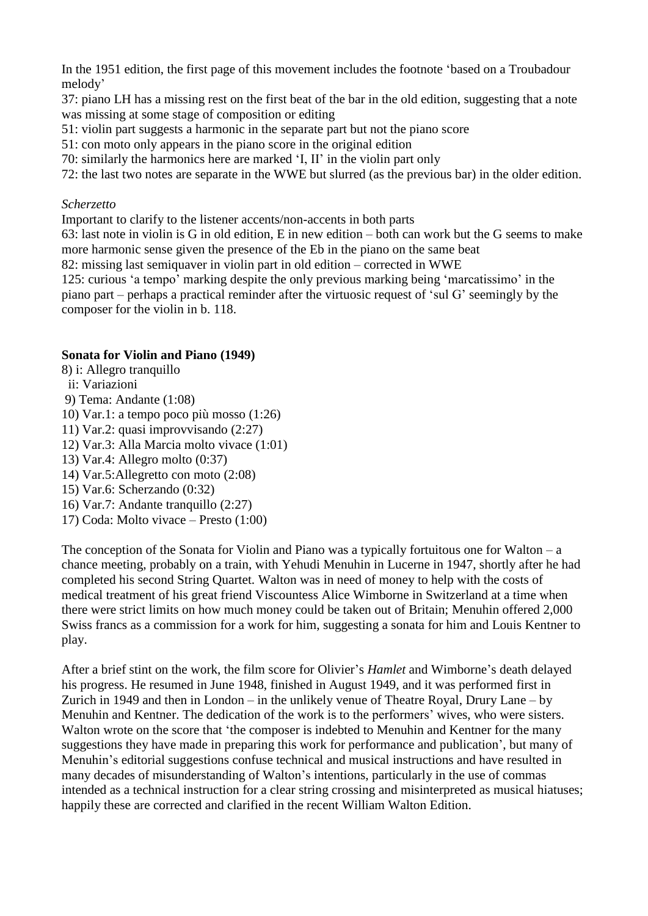In the 1951 edition, the first page of this movement includes the footnote 'based on a Troubadour melody'

37: piano LH has a missing rest on the first beat of the bar in the old edition, suggesting that a note was missing at some stage of composition or editing

- 51: violin part suggests a harmonic in the separate part but not the piano score
- 51: con moto only appears in the piano score in the original edition

70: similarly the harmonics here are marked 'I, II' in the violin part only

72: the last two notes are separate in the WWE but slurred (as the previous bar) in the older edition.

## *Scherzetto*

Important to clarify to the listener accents/non-accents in both parts

63: last note in violin is G in old edition, E in new edition – both can work but the G seems to make more harmonic sense given the presence of the Eb in the piano on the same beat

82: missing last semiquaver in violin part in old edition – corrected in WWE

125: curious 'a tempo' marking despite the only previous marking being 'marcatissimo' in the piano part – perhaps a practical reminder after the virtuosic request of 'sul G' seemingly by the composer for the violin in b. 118.

## **Sonata for Violin and Piano (1949)**

- 8) i: Allegro tranquillo
- ii: Variazioni
- 9) Tema: Andante (1:08)
- 10) Var.1: a tempo poco più mosso (1:26)
- 11) Var.2: quasi improvvisando (2:27)
- 12) Var.3: Alla Marcia molto vivace (1:01)
- 13) Var.4: Allegro molto (0:37)
- 14) Var.5:Allegretto con moto (2:08)
- 15) Var.6: Scherzando (0:32)
- 16) Var.7: Andante tranquillo (2:27)
- 17) Coda: Molto vivace Presto (1:00)

The conception of the Sonata for Violin and Piano was a typically fortuitous one for Walton – a chance meeting, probably on a train, with Yehudi Menuhin in Lucerne in 1947, shortly after he had completed his second String Quartet. Walton was in need of money to help with the costs of medical treatment of his great friend Viscountess Alice Wimborne in Switzerland at a time when there were strict limits on how much money could be taken out of Britain; Menuhin offered 2,000 Swiss francs as a commission for a work for him, suggesting a sonata for him and Louis Kentner to play.

After a brief stint on the work, the film score for Olivier's *Hamlet* and Wimborne's death delayed his progress. He resumed in June 1948, finished in August 1949, and it was performed first in Zurich in 1949 and then in London – in the unlikely venue of Theatre Royal, Drury Lane – by Menuhin and Kentner. The dedication of the work is to the performers' wives, who were sisters. Walton wrote on the score that 'the composer is indebted to Menuhin and Kentner for the many suggestions they have made in preparing this work for performance and publication', but many of Menuhin's editorial suggestions confuse technical and musical instructions and have resulted in many decades of misunderstanding of Walton's intentions, particularly in the use of commas intended as a technical instruction for a clear string crossing and misinterpreted as musical hiatuses; happily these are corrected and clarified in the recent William Walton Edition.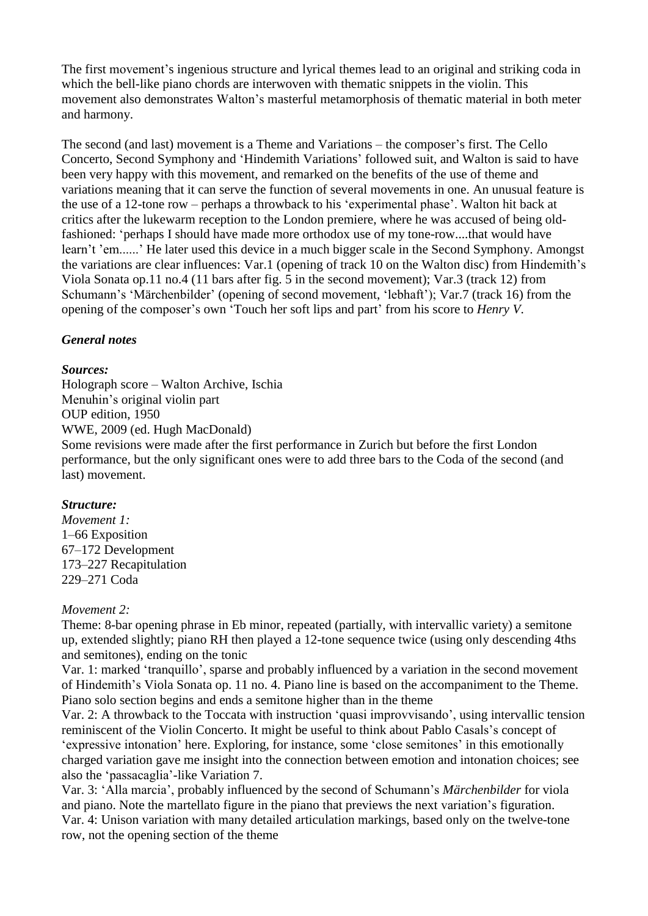The first movement's ingenious structure and lyrical themes lead to an original and striking coda in which the bell-like piano chords are interwoven with thematic snippets in the violin. This movement also demonstrates Walton's masterful metamorphosis of thematic material in both meter and harmony.

The second (and last) movement is a Theme and Variations – the composer's first. The Cello Concerto, Second Symphony and 'Hindemith Variations' followed suit, and Walton is said to have been very happy with this movement, and remarked on the benefits of the use of theme and variations meaning that it can serve the function of several movements in one. An unusual feature is the use of a 12-tone row – perhaps a throwback to his 'experimental phase'. Walton hit back at critics after the lukewarm reception to the London premiere, where he was accused of being oldfashioned: 'perhaps I should have made more orthodox use of my tone-row....that would have learn't 'em......' He later used this device in a much bigger scale in the Second Symphony. Amongst the variations are clear influences: Var.1 (opening of track 10 on the Walton disc) from Hindemith's Viola Sonata op.11 no.4 (11 bars after fig. 5 in the second movement); Var.3 (track 12) from Schumann's 'Märchenbilder' (opening of second movement, 'lebhaft'); Var.7 (track 16) from the opening of the composer's own 'Touch her soft lips and part' from his score to *Henry V*.

## *General notes*

#### *Sources:*

Holograph score – Walton Archive, Ischia Menuhin's original violin part OUP edition, 1950 WWE, 2009 (ed. Hugh MacDonald)

Some revisions were made after the first performance in Zurich but before the first London performance, but the only significant ones were to add three bars to the Coda of the second (and last) movement.

## *Structure:*

*Movement 1:* 1–66 Exposition 67–172 Development 173–227 Recapitulation 229–271 Coda

## *Movement 2:*

Theme: 8-bar opening phrase in Eb minor, repeated (partially, with intervallic variety) a semitone up, extended slightly; piano RH then played a 12-tone sequence twice (using only descending 4ths and semitones), ending on the tonic

Var. 1: marked 'tranquillo', sparse and probably influenced by a variation in the second movement of Hindemith's Viola Sonata op. 11 no. 4. Piano line is based on the accompaniment to the Theme. Piano solo section begins and ends a semitone higher than in the theme

Var. 2: A throwback to the Toccata with instruction 'quasi improvvisando', using intervallic tension reminiscent of the Violin Concerto. It might be useful to think about Pablo Casals's concept of 'expressive intonation' here. Exploring, for instance, some 'close semitones' in this emotionally charged variation gave me insight into the connection between emotion and intonation choices; see also the 'passacaglia'-like Variation 7.

Var. 3: 'Alla marcia', probably influenced by the second of Schumann's *Märchenbilder* for viola and piano. Note the martellato figure in the piano that previews the next variation's figuration. Var. 4: Unison variation with many detailed articulation markings, based only on the twelve-tone row, not the opening section of the theme